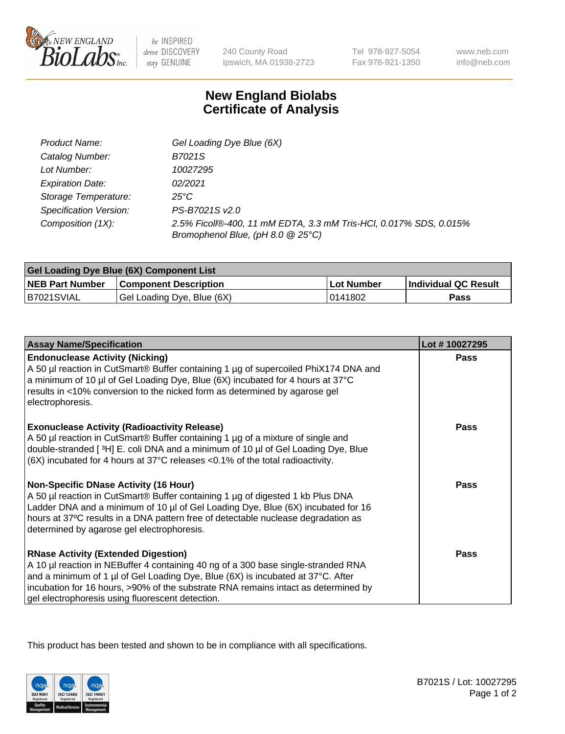

 $be$  INSPIRED drive DISCOVERY stay GENUINE

240 County Road Ipswich, MA 01938-2723 Tel 978-927-5054 Fax 978-921-1350 www.neb.com info@neb.com

## **New England Biolabs Certificate of Analysis**

| Product Name:           | Gel Loading Dye Blue (6X)                                                                              |
|-------------------------|--------------------------------------------------------------------------------------------------------|
| Catalog Number:         | B7021S                                                                                                 |
| Lot Number:             | 10027295                                                                                               |
| <b>Expiration Date:</b> | 02/2021                                                                                                |
| Storage Temperature:    | 25°C                                                                                                   |
| Specification Version:  | PS-B7021S v2.0                                                                                         |
| Composition (1X):       | 2.5% Ficoll®-400, 11 mM EDTA, 3.3 mM Tris-HCl, 0.017% SDS, 0.015%<br>Bromophenol Blue, (pH 8.0 @ 25°C) |

| Gel Loading Dye Blue (6X) Component List |                              |            |                      |  |
|------------------------------------------|------------------------------|------------|----------------------|--|
| <b>NEB Part Number</b>                   | <b>Component Description</b> | Lot Number | Individual QC Result |  |
| B7021SVIAL                               | Gel Loading Dye, Blue (6X)   | 10141802   | Pass                 |  |

| <b>Assay Name/Specification</b>                                                                                                                                                                                                                                                                                                                              | Lot #10027295 |
|--------------------------------------------------------------------------------------------------------------------------------------------------------------------------------------------------------------------------------------------------------------------------------------------------------------------------------------------------------------|---------------|
| <b>Endonuclease Activity (Nicking)</b><br>A 50 µl reaction in CutSmart® Buffer containing 1 µg of supercoiled PhiX174 DNA and<br>a minimum of 10 µl of Gel Loading Dye, Blue (6X) incubated for 4 hours at 37°C<br>results in <10% conversion to the nicked form as determined by agarose gel<br>electrophoresis.                                            | Pass          |
| <b>Exonuclease Activity (Radioactivity Release)</b><br>A 50 µl reaction in CutSmart® Buffer containing 1 µg of a mixture of single and<br>double-stranded [3H] E. coli DNA and a minimum of 10 µl of Gel Loading Dye, Blue<br>$(6X)$ incubated for 4 hours at 37 $^{\circ}$ C releases <0.1% of the total radioactivity.                                     | <b>Pass</b>   |
| <b>Non-Specific DNase Activity (16 Hour)</b><br>A 50 µl reaction in CutSmart® Buffer containing 1 µg of digested 1 kb Plus DNA<br>Ladder DNA and a minimum of 10 µl of Gel Loading Dye, Blue (6X) incubated for 16<br>hours at 37°C results in a DNA pattern free of detectable nuclease degradation as<br>determined by agarose gel electrophoresis.        | <b>Pass</b>   |
| <b>RNase Activity (Extended Digestion)</b><br>A 10 µl reaction in NEBuffer 4 containing 40 ng of a 300 base single-stranded RNA<br>and a minimum of 1 µl of Gel Loading Dye, Blue (6X) is incubated at 37°C. After<br>incubation for 16 hours, >90% of the substrate RNA remains intact as determined by<br>gel electrophoresis using fluorescent detection. | <b>Pass</b>   |

This product has been tested and shown to be in compliance with all specifications.